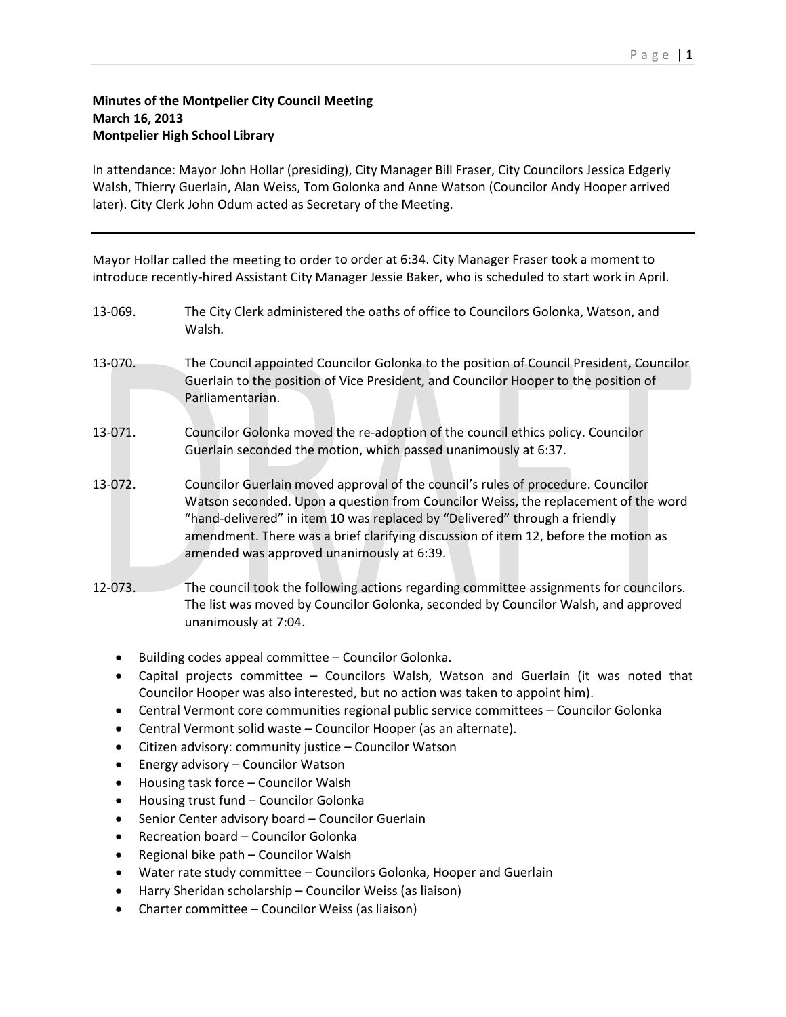## **Minutes of the Montpelier City Council Meeting March 16, 2013 Montpelier High School Library**

In attendance: Mayor John Hollar (presiding), City Manager Bill Fraser, City Councilors Jessica Edgerly Walsh, Thierry Guerlain, Alan Weiss, Tom Golonka and Anne Watson (Councilor Andy Hooper arrived later). City Clerk John Odum acted as Secretary of the Meeting.

Mayor Hollar called the meeting to order to order at 6:34. City Manager Fraser took a moment to introduce recently-hired Assistant City Manager Jessie Baker, who is scheduled to start work in April.

- 13-069. The City Clerk administered the oaths of office to Councilors Golonka, Watson, and Walsh.
- 13-070. The Council appointed Councilor Golonka to the position of Council President, Councilor Guerlain to the position of Vice President, and Councilor Hooper to the position of Parliamentarian.
- 13-071. Councilor Golonka moved the re-adoption of the council ethics policy. Councilor Guerlain seconded the motion, which passed unanimously at 6:37.
- 13-072. Councilor Guerlain moved approval of the council's rules of procedure. Councilor Watson seconded. Upon a question from Councilor Weiss, the replacement of the word "hand-delivered" in item 10 was replaced by "Delivered" through a friendly amendment. There was a brief clarifying discussion of item 12, before the motion as amended was approved unanimously at 6:39.
- 12-073. The council took the following actions regarding committee assignments for councilors. The list was moved by Councilor Golonka, seconded by Councilor Walsh, and approved unanimously at 7:04.
	- Building codes appeal committee Councilor Golonka.
	- Capital projects committee Councilors Walsh, Watson and Guerlain (it was noted that Councilor Hooper was also interested, but no action was taken to appoint him).
	- Central Vermont core communities regional public service committees Councilor Golonka
	- Central Vermont solid waste Councilor Hooper (as an alternate).
	- Citizen advisory: community justice Councilor Watson
	- Energy advisory Councilor Watson
	- Housing task force Councilor Walsh
	- Housing trust fund Councilor Golonka
	- Senior Center advisory board Councilor Guerlain
	- Recreation board Councilor Golonka
	- Regional bike path Councilor Walsh
	- Water rate study committee Councilors Golonka, Hooper and Guerlain
	- Harry Sheridan scholarship Councilor Weiss (as liaison)
	- Charter committee Councilor Weiss (as liaison)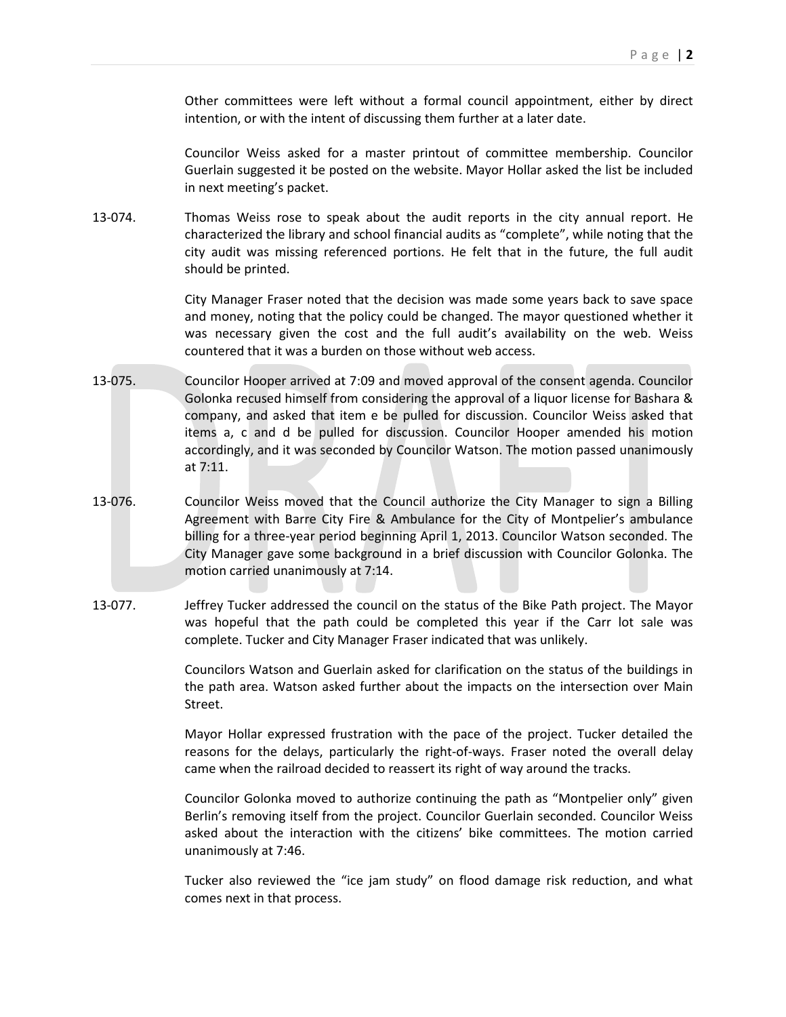Other committees were left without a formal council appointment, either by direct intention, or with the intent of discussing them further at a later date.

Councilor Weiss asked for a master printout of committee membership. Councilor Guerlain suggested it be posted on the website. Mayor Hollar asked the list be included in next meeting's packet.

13-074. Thomas Weiss rose to speak about the audit reports in the city annual report. He characterized the library and school financial audits as "complete", while noting that the city audit was missing referenced portions. He felt that in the future, the full audit should be printed.

> City Manager Fraser noted that the decision was made some years back to save space and money, noting that the policy could be changed. The mayor questioned whether it was necessary given the cost and the full audit's availability on the web. Weiss countered that it was a burden on those without web access.

- 13-075. Councilor Hooper arrived at 7:09 and moved approval of the consent agenda. Councilor Golonka recused himself from considering the approval of a liquor license for Bashara & company, and asked that item e be pulled for discussion. Councilor Weiss asked that items a, c and d be pulled for discussion. Councilor Hooper amended his motion accordingly, and it was seconded by Councilor Watson. The motion passed unanimously at 7:11.
- 13-076. Councilor Weiss moved that the Council authorize the City Manager to sign a Billing Agreement with Barre City Fire & Ambulance for the City of Montpelier's ambulance billing for a three-year period beginning April 1, 2013. Councilor Watson seconded. The City Manager gave some background in a brief discussion with Councilor Golonka. The motion carried unanimously at 7:14.
- 13-077. Jeffrey Tucker addressed the council on the status of the Bike Path project. The Mayor was hopeful that the path could be completed this year if the Carr lot sale was complete. Tucker and City Manager Fraser indicated that was unlikely.

Councilors Watson and Guerlain asked for clarification on the status of the buildings in the path area. Watson asked further about the impacts on the intersection over Main Street.

Mayor Hollar expressed frustration with the pace of the project. Tucker detailed the reasons for the delays, particularly the right-of-ways. Fraser noted the overall delay came when the railroad decided to reassert its right of way around the tracks.

Councilor Golonka moved to authorize continuing the path as "Montpelier only" given Berlin's removing itself from the project. Councilor Guerlain seconded. Councilor Weiss asked about the interaction with the citizens' bike committees. The motion carried unanimously at 7:46.

Tucker also reviewed the "ice jam study" on flood damage risk reduction, and what comes next in that process.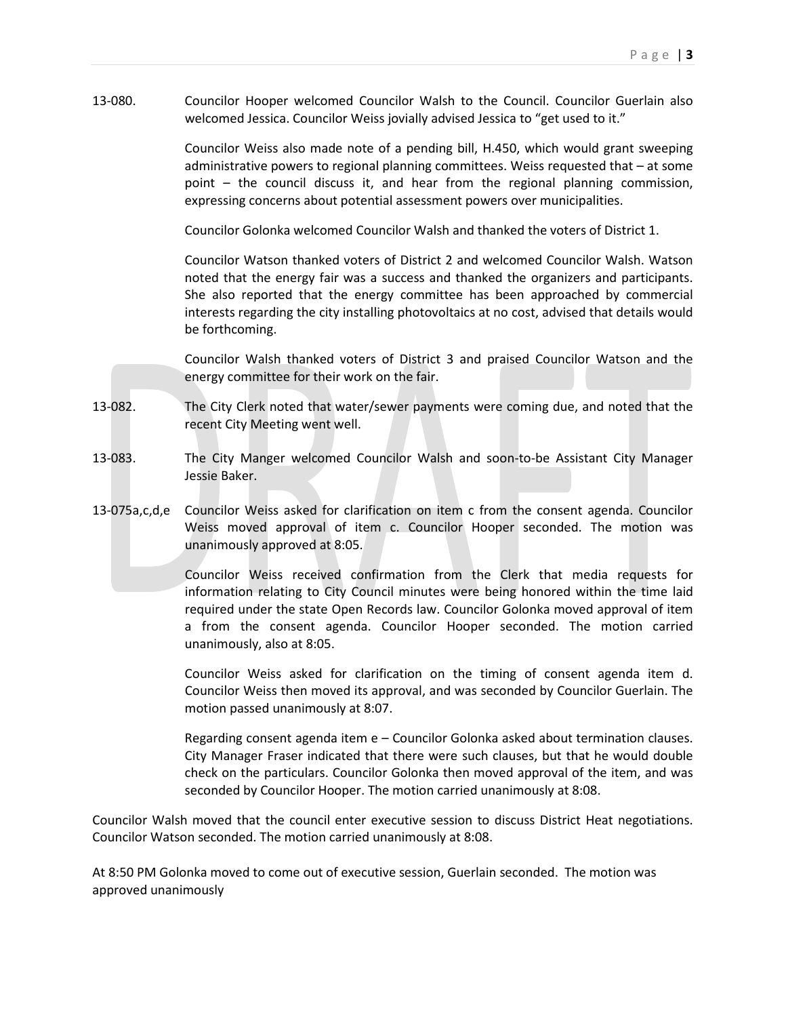13-080. Councilor Hooper welcomed Councilor Walsh to the Council. Councilor Guerlain also welcomed Jessica. Councilor Weiss jovially advised Jessica to "get used to it."

> Councilor Weiss also made note of a pending bill, H.450, which would grant sweeping administrative powers to regional planning committees. Weiss requested that – at some point – the council discuss it, and hear from the regional planning commission, expressing concerns about potential assessment powers over municipalities.

Councilor Golonka welcomed Councilor Walsh and thanked the voters of District 1.

Councilor Watson thanked voters of District 2 and welcomed Councilor Walsh. Watson noted that the energy fair was a success and thanked the organizers and participants. She also reported that the energy committee has been approached by commercial interests regarding the city installing photovoltaics at no cost, advised that details would be forthcoming.

Councilor Walsh thanked voters of District 3 and praised Councilor Watson and the energy committee for their work on the fair.

- 13-082. The City Clerk noted that water/sewer payments were coming due, and noted that the recent City Meeting went well.
- 13-083. The City Manger welcomed Councilor Walsh and soon-to-be Assistant City Manager Jessie Baker.
- 13-075a,c,d,e Councilor Weiss asked for clarification on item c from the consent agenda. Councilor Weiss moved approval of item c. Councilor Hooper seconded. The motion was unanimously approved at 8:05.

Councilor Weiss received confirmation from the Clerk that media requests for information relating to City Council minutes were being honored within the time laid required under the state Open Records law. Councilor Golonka moved approval of item a from the consent agenda. Councilor Hooper seconded. The motion carried unanimously, also at 8:05.

Councilor Weiss asked for clarification on the timing of consent agenda item d. Councilor Weiss then moved its approval, and was seconded by Councilor Guerlain. The motion passed unanimously at 8:07.

Regarding consent agenda item e – Councilor Golonka asked about termination clauses. City Manager Fraser indicated that there were such clauses, but that he would double check on the particulars. Councilor Golonka then moved approval of the item, and was seconded by Councilor Hooper. The motion carried unanimously at 8:08.

Councilor Walsh moved that the council enter executive session to discuss District Heat negotiations. Councilor Watson seconded. The motion carried unanimously at 8:08.

At 8:50 PM Golonka moved to come out of executive session, Guerlain seconded. The motion was approved unanimously